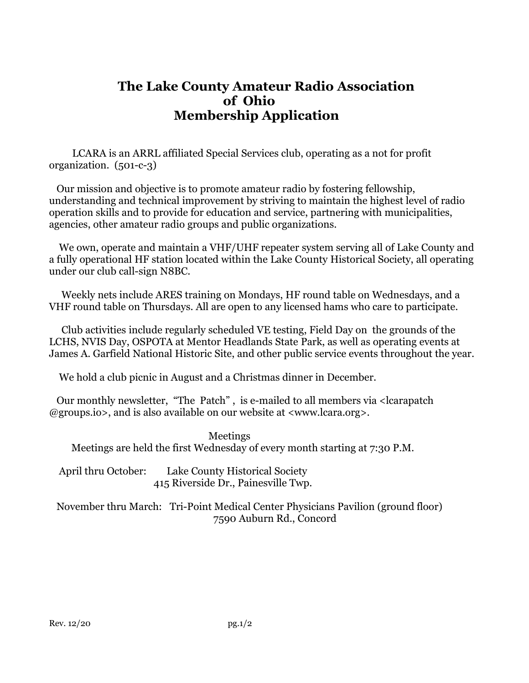# **The Lake County Amateur Radio Association of Ohio Membership Application**

 LCARA is an ARRL affiliated Special Services club, operating as a not for profit organization. (501-c-3)

 Our mission and objective is to promote amateur radio by fostering fellowship, understanding and technical improvement by striving to maintain the highest level of radio operation skills and to provide for education and service, partnering with municipalities, agencies, other amateur radio groups and public organizations.

 We own, operate and maintain a VHF/UHF repeater system serving all of Lake County and a fully operational HF station located within the Lake County Historical Society, all operating under our club call-sign N8BC.

 Weekly nets include ARES training on Mondays, HF round table on Wednesdays, and a VHF round table on Thursdays. All are open to any licensed hams who care to participate.

 Club activities include regularly scheduled VE testing, Field Day on the grounds of the LCHS, NVIS Day, OSPOTA at Mentor Headlands State Park, as well as operating events at James A. Garfield National Historic Site, and other public service events throughout the year.

We hold a club picnic in August and a Christmas dinner in December.

 Our monthly newsletter, "The Patch" , is e-mailed to all members via <lcarapatch @groups.io>, and is also available on our website at <www.lcara.org>.

 Meetings Meetings are held the first Wednesday of every month starting at 7:30 P.M.

 April thru October: Lake County Historical Society 415 Riverside Dr., Painesville Twp.

 November thru March: Tri-Point Medical Center Physicians Pavilion (ground floor) 7590 Auburn Rd., Concord